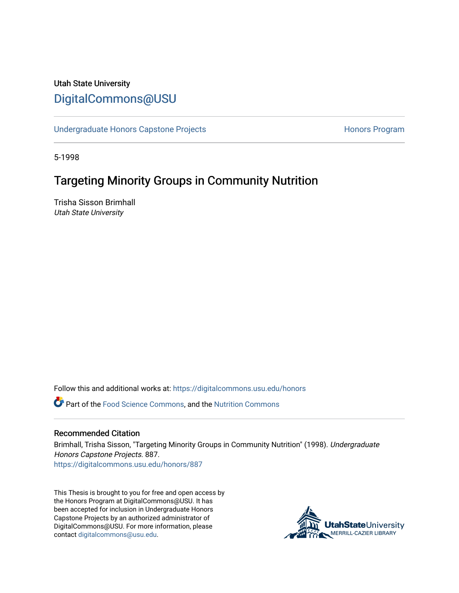## Utah State University [DigitalCommons@USU](https://digitalcommons.usu.edu/)

[Undergraduate Honors Capstone Projects](https://digitalcommons.usu.edu/honors) **Honors Program** Honors Program

5-1998

# Targeting Minority Groups in Community Nutrition

Trisha Sisson Brimhall Utah State University

Follow this and additional works at: [https://digitalcommons.usu.edu/honors](https://digitalcommons.usu.edu/honors?utm_source=digitalcommons.usu.edu%2Fhonors%2F887&utm_medium=PDF&utm_campaign=PDFCoverPages)

Part of the [Food Science Commons,](http://network.bepress.com/hgg/discipline/84?utm_source=digitalcommons.usu.edu%2Fhonors%2F887&utm_medium=PDF&utm_campaign=PDFCoverPages) and the [Nutrition Commons](http://network.bepress.com/hgg/discipline/95?utm_source=digitalcommons.usu.edu%2Fhonors%2F887&utm_medium=PDF&utm_campaign=PDFCoverPages) 

#### Recommended Citation

Brimhall, Trisha Sisson, "Targeting Minority Groups in Community Nutrition" (1998). Undergraduate Honors Capstone Projects. 887. [https://digitalcommons.usu.edu/honors/887](https://digitalcommons.usu.edu/honors/887?utm_source=digitalcommons.usu.edu%2Fhonors%2F887&utm_medium=PDF&utm_campaign=PDFCoverPages)

This Thesis is brought to you for free and open access by the Honors Program at DigitalCommons@USU. It has been accepted for inclusion in Undergraduate Honors Capstone Projects by an authorized administrator of DigitalCommons@USU. For more information, please contact [digitalcommons@usu.edu](mailto:digitalcommons@usu.edu).

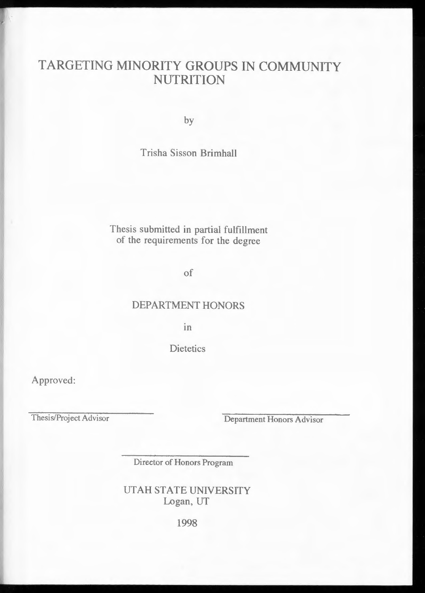# TARGETING MINORITY GROUPS IN COMMUNITY **NUTRITION**

by

### Trisha Sisson Brimhall

### Thesis submitted in partial fulfillment of the requirements for the degree

of

### DEPARTMENT HONORS

Ill

**Dietetics** 

Approved:

Thesis/Project Advisor

Department Honors Advisor

Director of Honors Program

UTAH STATE UNIVERSITY Logan, UT

1998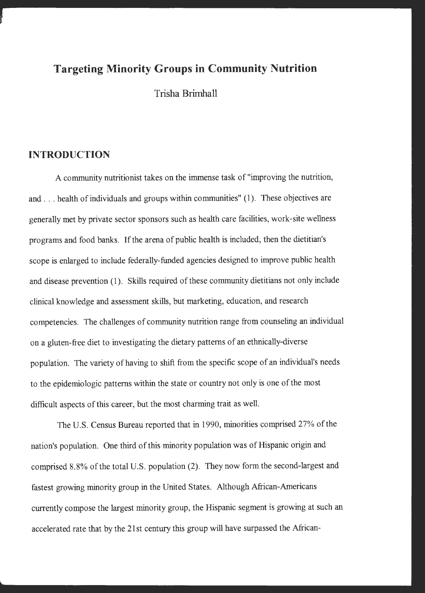### **Targeting Minority Groups in Community Nutrition**

Trisha Brimhall

#### **INTRODUCTION**

A community nutritionist takes on the immense task of "improving the nutrition, and ... health of individuals and groups within communities" (1 ). These objectives are generally met by private sector sponsors such as health care facilities, work-site wellness programs and food banks. If the arena of public health is included, then the dietitian's scope is enlarged to include federally-funded agencies designed to improve public health and disease prevention (1). Skills required of these community dietitians not only include clinical knowledge and assessment skills, but marketing, education, and research competencies. The challenges of community nutrition range from counseling an individual on a gluten-free diet to investigating the dietary patterns of an ethnically-diverse population. The variety of having to shift from the specific scope of an individual's needs to the epidemiologic patterns within the state or country not only is one of the most difficult aspects of this career, but the most charming trait as well.

The U.S. Census Bureau reported that in 1990, minorities comprised 27% of the nation's population. One third of this minority population was of Hispanic origin and comprised 8.8% of the total U.S. population (2). They now form the second-largest and fastest growing minority group in the United States. Although African-Americans currently compose the largest minority group, the Hispanic segment is growing at such an accelerated rate that by the 21st century this group will have surpassed the African-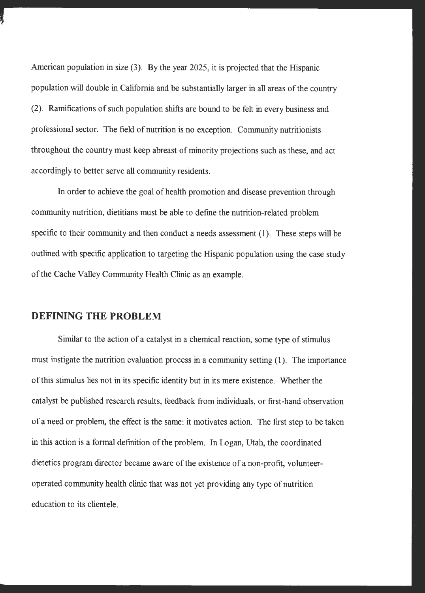American population in size (3). By the year 2025, it is projected that the Hispanic population will double in California and be substantially larger in all areas of the country (2). Ramifications of such population shifts are bound to be felt in every business and professional sector. The field of nutrition is no exception. Community nutritionists throughout the country must keep abreast of minority projections such as these, and act accordingly to better serve all community residents.

In order to achieve the goal of health promotion and disease prevention through community nutrition, dietitians must be able to define the nutrition-related problem specific to their community and then conduct a needs assessment (1). These steps will be outlined with specific application to targeting the Hispanic population using the case study of the Cache Valley Community Health Clinic as an example.

### **DEFINING THE PROBLEM**

Similar to the action of a catalyst in a chemical reaction, some type of stimulus must instigate the nutrition evaluation process in a community setting (1). The importance of this stimulus lies not in its specific identity but in its mere existence. Whether the catalyst be published research results, feedback from individuals, or first-hand observation of a need or problem, the effect is the same: it motivates action. The first step to be taken in this action is a formal definition of the problem. In Logan, Utah, the coordinated dietetics program director became aware of the existence of a non-profit, volunteeroperated community health clinic that was not yet providing any type of nutrition education to its clientele.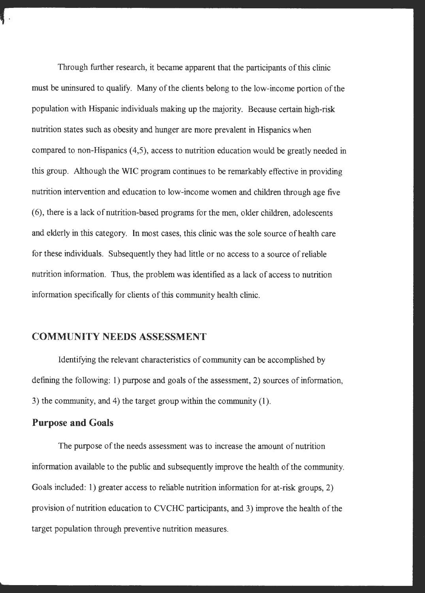Through further research, it became apparent that the participants of this clinic must be uninsured to qualify. Many of the clients belong to the low-income portion of the population with Hispanic individuals making up the majority. Because certain high-risk nutrition states such as obesity and hunger are more prevalent in Hispanics when compared to non-Hispanics (4,5), access to nutrition education would be greatly needed in this group. Although the WIC program continues to be remarkably effective in providing nutrition intervention and education to low-income women and children through age five (6), there is a lack of nutrition-based programs for the men, older children, adolescents and elderly in this category. In most cases, this clinic was the sole source of health care for these individuals. Subsequently they had little or no access to a source of reliable nutrition information. Thus, the problem was identified as a lack of access to nutrition information specifically for clients of this community health clinic.

### **COMMUNITY NEEDS ASSESSMENT**

Identifying the relevant characteristics of community can be accomplished by defining the following: 1) purpose and goals of the assessment, 2) sources of information, 3) the community, and 4) the target group within the community (1).

#### **Purpose and Goals**

The purpose of the needs assessment was to increase the amount of nutrition information available to the public and subsequently improve the health of the community. Goals included: 1) greater access to reliable nutrition information for at-risk groups, 2) provision of nutrition education to CVCHC participants, and 3) improve the health of the target population through preventive nutrition measures.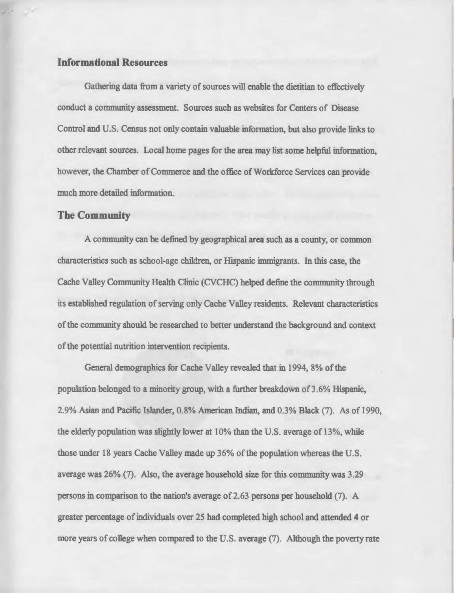#### **Informational Resources**

Gathering data from a variety of sources will enable the dietitian to effectively conduct a community assessment. Sources such as websites for Centers of Disease Control and U.S. Census not only contain valuable information, but also provide links to other relevant sources. Local home pages for the area may list some helpful information, however, the Chamber of Commerce and the office of Workforce Services can provide much more detailed information.

#### **The Community**

A community can be defined by geographical area such as a county, or common characteristics such as school-age children, or Hispanic immigrants. In this case, the Cache Valley Community Health Clinic (CVCHC) helped define the community through its established regulation of serving only Cache Valley residents. Relevant characteristics of the community should be researched to better understand the background and context of the potential nutrition intervention recipients.

General demographics for Cache Valley revealed that in 1994, 8% of the population belonged to a minority group, with a further breakdown of 3.6% Hispanic, 2.9% Asian and Pacific Islander, 0.8% American Indian, and 0.3% Black (7). As of 1990, the elderly population was slightly lower at 10% than the U.S. average of 13%, while those under 18 years Cache Valley made up 36% of the population whereas the U.S. average was 26% (7). Also, the average household size for this community was 3.29 persons in comparison to the nation's average of 2.63 persons per household (7). A greater percentage of individuals over 25 had completed high school and attended 4 or more years of college when compared to the U.S. average (7). Although the poverty rate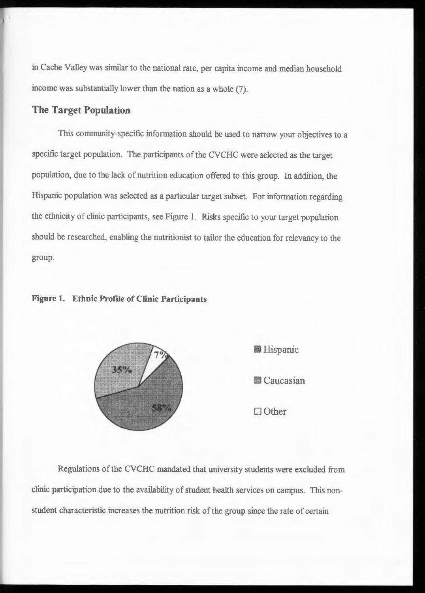in Cache Valley was similar to the national rate, per capita income and median household income was substantially lower than the nation as a whole (7).

### **The Target Population**

This community-specific information should be used to narrow your objectives to a specific target population. The participants of the CVCHC were selected as the target population, due to the lack of nutrition education offered to this group. In addition, the Hispanic population was selected as a particular target subset. For information regarding the ethnicity of clinic participants, see Figure 1. Risks specific to your target population should be researched, enabling the nutritionist to tailor the education for relevancy to the group.

#### **Figure 1. Ethnic Profile of Clinic Participants**





Other

Regulations of the CVCHC mandated that university students were excluded from clinic participation due to the availability of student health services on campus. This nonstudent characteristic increases the nutrition risk of the group since the rate of certain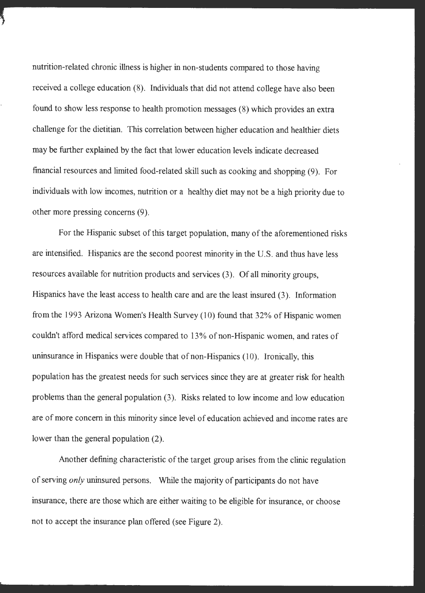nutrition-related chronic illness is higher in non-students compared to those having received a college education (8). Individuals that did not attend college have also been found to show less response to health promotion messages (8) which provides an extra challenge for the dietitian. This correlation between higher education and healthier diets may be further explained by the fact that lower education levels indicate decreased financial resources and limited food-related skill such as cooking and shopping (9). For individuals with low incomes, nutrition or a healthy diet may not be a high priority due to other more pressing concerns (9).

For the Hispanic subset of this target population, many of the aforementioned risks are intensified. Hispanics are the second poorest minority in the U.S. and thus have less resources available for nutrition products and services (3). Of all minority groups, Hispanics have the least access to health care and are the least insured (3). Information from the 1993 Arizona Women's Health Survey (10) found that 32% of Hispanic women couldn't afford medical services compared to 13% of non-Hispanic women, and rates of uninsurance in Hispanics were double that of non-Hispanics (10). Ironically, this population has the greatest needs for such services since they are at greater risk for health problems than the general population (3). Risks related to low income and low education are of more concern in this minority since level of education achieved and income rates are lower than the general population (2).

Another defining characteristic of the target group arises from the clinic regulation of serving *only* uninsured persons. While the majority of participants do not have insurance, there are those which are either waiting to be eligible for insurance, or choose not to accept the insurance plan offered (see Figure 2).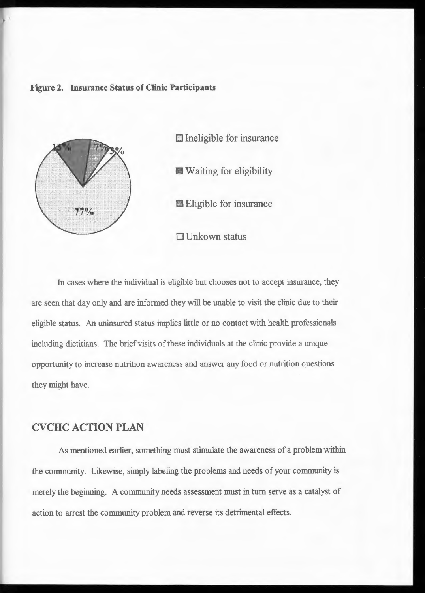#### **Figure 2. Insurance Status of Clinic Participants**



In cases where the individual is eligible but chooses not to accept insurance, they are seen that day only and are informed they will be unable to visit the clinic due to their eligible status. An uninsured status implies little or no contact with health professionals including dietitians. The brief visits of these individuals at the clinic provide a unique opportunity to increase nutrition awareness and answer any food or nutrition questions they might have.

### **CVCHC ACTION PLAN**

As mentioned earlier, something must stimulate the awareness of a problem within the community. Likewise, simply labeling the problems and needs of your community is merely the beginning. A community needs assessment must in turn serve as a catalyst of action to arrest the community problem and reverse its detrimental effects.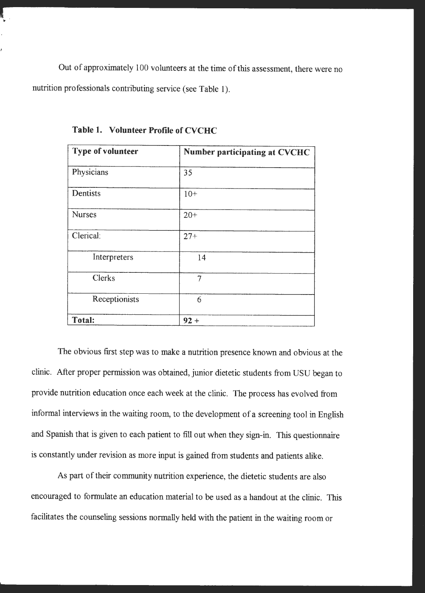Out of approximately 100 volunteers at the time of this assessment, there were no nutrition professionals contributing service (see Table 1).

| <b>Type of volunteer</b> | <b>Number participating at CVCHC</b> |
|--------------------------|--------------------------------------|
| Physicians               | 35                                   |
| Dentists                 | $10+$                                |
| <b>Nurses</b>            | $20 +$                               |
| Clerical:                | $27 +$                               |
| Interpreters             | 14                                   |
| <b>Clerks</b>            | $\overline{\tau}$                    |
| Receptionists            | 6                                    |
| <b>Total:</b>            | $92 +$                               |

**Table 1. Volunteer Profile of CVCHC** 

The obvious first step was to make a nutrition presence known and obvious at the clinic. After proper permission was obtained, junior dietetic students from USU began to provide nutrition education once each week at the clinic. The process has evolved from informal interviews in the waiting room, to the development of a screening tool in English and Spanish that is given to each patient to fill out when they sign-in. This questionnaire is constantly under revision as more input is gained from students and patients alike.

As part of their community nutrition experience, the dietetic students are also encouraged to formulate an education material to be used as a handout at the clinic. This facilitates the counseling sessions normally held with the patient in the waiting room or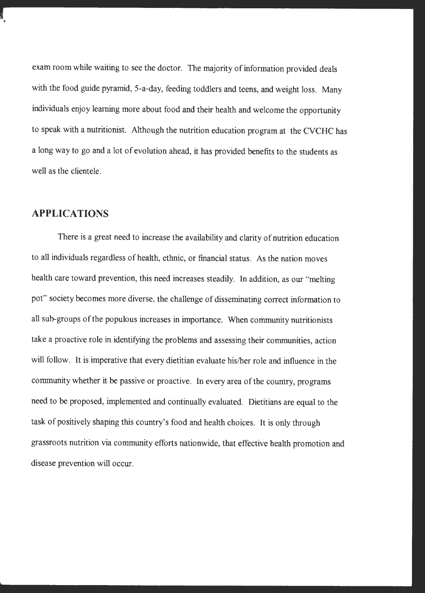exam room while waiting to see the doctor. The majority of information provided deals with the food guide pyramid, 5-a-day, feeding toddlers and teens, and weight loss. Many individuals enjoy learning more about food and their health and welcome the opportunity to speak with a nutritionist. Although the nutrition education program at the CVCHC has a long way to go and a lot of evolution ahead, it has provided benefits to the students as well as the clientele.

### **APPLICATIONS**

There is a great need to increase the availability and clarity of nutrition education to all individuals regardless of health, ethnic, or financial status. As the nation moves health care toward prevention, this need increases steadily. In addition, as our "melting po<sup>t</sup>" society becomes more diverse, the challenge of disseminating correct information to all sub-groups of the populous increases in importance. When community nutritionists take a proactive role in identifying the problems and assessing their communities, action will follow. It is imperative that every dietitian evaluate his/her role and influence in the community whether it be passive or proactive. In every area of the country, programs need to be proposed, implemented and continually evaluated. Dietitians are equal to the task of positively shaping this country's food and health choices. It is only through grassroots nutrition via community efforts nationwide, that effective health promotion and disease prevention will occur.